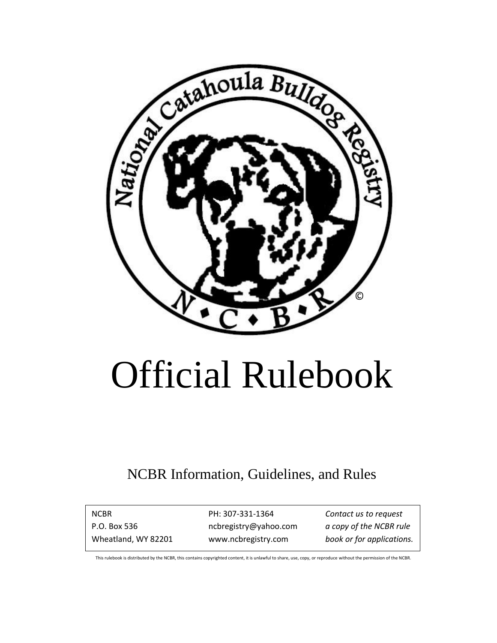

# Official Rulebook

# NCBR Information, Guidelines, and Rules

NCBR PH: 307-331-1364 *Contact us to request* P.O. Box 536 ncbregistry@yahoo.com *a copy of the NCBR rule* Wheatland, WY 82201 www.ncbregistry.com *book or for applications.*

This rulebook is distributed by the NCBR, this contains copyrighted content, it is unlawful to share, use, copy, or reproduce without the permission of the NCBR.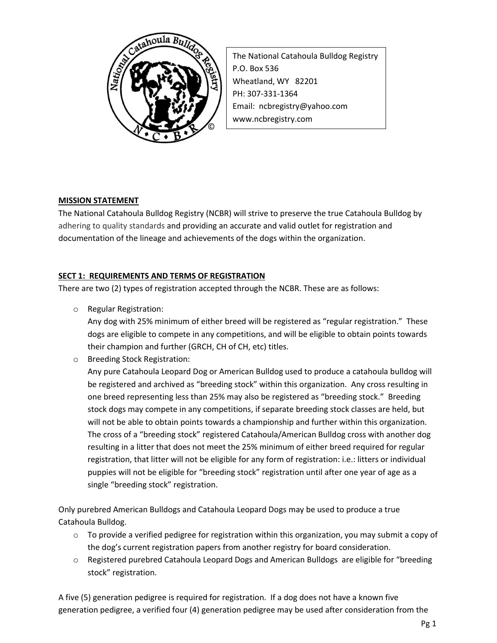

The National Catahoula Bulldog Registry P.O. Box 536 Wheatland, WY 82201 PH: 307-331-1364 Email: ncbregistry@yahoo.com www.ncbregistry.com

# **MISSION STATEMENT**

The National Catahoula Bulldog Registry (NCBR) will strive to preserve the true Catahoula Bulldog by adhering to quality standards and providing an accurate and valid outlet for registration and documentation of the lineage and achievements of the dogs within the organization.

# **SECT 1: REQUIREMENTS AND TERMS OF REGISTRATION**

There are two (2) types of registration accepted through the NCBR. These are as follows:

o Regular Registration:

Any dog with 25% minimum of either breed will be registered as "regular registration." These dogs are eligible to compete in any competitions, and will be eligible to obtain points towards their champion and further (GRCH, CH of CH, etc) titles.

o Breeding Stock Registration:

Any pure Catahoula Leopard Dog or American Bulldog used to produce a catahoula bulldog will be registered and archived as "breeding stock" within this organization. Any cross resulting in one breed representing less than 25% may also be registered as "breeding stock." Breeding stock dogs may compete in any competitions, if separate breeding stock classes are held, but will not be able to obtain points towards a championship and further within this organization. The cross of a "breeding stock" registered Catahoula/American Bulldog cross with another dog resulting in a litter that does not meet the 25% minimum of either breed required for regular registration, that litter will not be eligible for any form of registration: i.e.: litters or individual puppies will not be eligible for "breeding stock" registration until after one year of age as a single "breeding stock" registration.

Only purebred American Bulldogs and Catahoula Leopard Dogs may be used to produce a true Catahoula Bulldog.

- $\circ$  To provide a verified pedigree for registration within this organization, you may submit a copy of the dog's current registration papers from another registry for board consideration.
- o Registered purebred Catahoula Leopard Dogs and American Bulldogs are eligible for "breeding stock" registration.

A five (5) generation pedigree is required for registration. If a dog does not have a known five generation pedigree, a verified four (4) generation pedigree may be used after consideration from the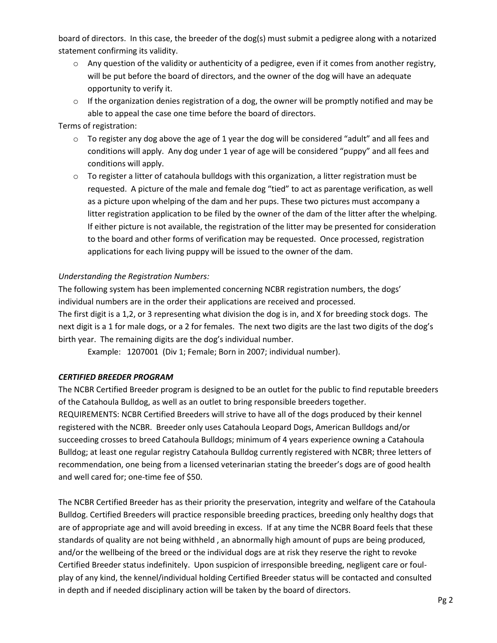board of directors. In this case, the breeder of the dog(s) must submit a pedigree along with a notarized statement confirming its validity.

- $\circ$  Any question of the validity or authenticity of a pedigree, even if it comes from another registry, will be put before the board of directors, and the owner of the dog will have an adequate opportunity to verify it.
- $\circ$  If the organization denies registration of a dog, the owner will be promptly notified and may be able to appeal the case one time before the board of directors.

## Terms of registration:

- $\circ$  To register any dog above the age of 1 year the dog will be considered "adult" and all fees and conditions will apply. Any dog under 1 year of age will be considered "puppy" and all fees and conditions will apply.
- $\circ$  To register a litter of catahoula bulldogs with this organization, a litter registration must be requested. A picture of the male and female dog "tied" to act as parentage verification, as well as a picture upon whelping of the dam and her pups. These two pictures must accompany a litter registration application to be filed by the owner of the dam of the litter after the whelping. If either picture is not available, the registration of the litter may be presented for consideration to the board and other forms of verification may be requested. Once processed, registration applications for each living puppy will be issued to the owner of the dam.

## *Understanding the Registration Numbers:*

The following system has been implemented concerning NCBR registration numbers, the dogs' individual numbers are in the order their applications are received and processed.

The first digit is a 1,2, or 3 representing what division the dog is in, and X for breeding stock dogs. The next digit is a 1 for male dogs, or a 2 for females. The next two digits are the last two digits of the dog's birth year. The remaining digits are the dog's individual number.

Example: 1207001 (Div 1; Female; Born in 2007; individual number).

## *CERTIFIED BREEDER PROGRAM*

The NCBR Certified Breeder program is designed to be an outlet for the public to find reputable breeders of the Catahoula Bulldog, as well as an outlet to bring responsible breeders together. REQUIREMENTS: NCBR Certified Breeders will strive to have all of the dogs produced by their kennel registered with the NCBR. Breeder only uses Catahoula Leopard Dogs, American Bulldogs and/or succeeding crosses to breed Catahoula Bulldogs; minimum of 4 years experience owning a Catahoula Bulldog; at least one regular registry Catahoula Bulldog currently registered with NCBR; three letters of recommendation, one being from a licensed veterinarian stating the breeder's dogs are of good health and well cared for; one-time fee of \$50.

The NCBR Certified Breeder has as their priority the preservation, integrity and welfare of the Catahoula Bulldog. Certified Breeders will practice responsible breeding practices, breeding only healthy dogs that are of appropriate age and will avoid breeding in excess. If at any time the NCBR Board feels that these standards of quality are not being withheld , an abnormally high amount of pups are being produced, and/or the wellbeing of the breed or the individual dogs are at risk they reserve the right to revoke Certified Breeder status indefinitely. Upon suspicion of irresponsible breeding, negligent care or foulplay of any kind, the kennel/individual holding Certified Breeder status will be contacted and consulted in depth and if needed disciplinary action will be taken by the board of directors.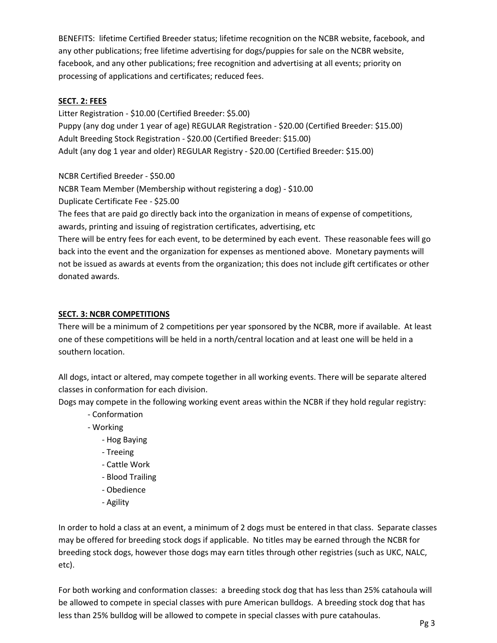BENEFITS: lifetime Certified Breeder status; lifetime recognition on the NCBR website, facebook, and any other publications; free lifetime advertising for dogs/puppies for sale on the NCBR website, facebook, and any other publications; free recognition and advertising at all events; priority on processing of applications and certificates; reduced fees.

# **SECT. 2: FEES**

Litter Registration - \$10.00 (Certified Breeder: \$5.00) Puppy (any dog under 1 year of age) REGULAR Registration - \$20.00 (Certified Breeder: \$15.00) Adult Breeding Stock Registration - \$20.00 (Certified Breeder: \$15.00) Adult (any dog 1 year and older) REGULAR Registry - \$20.00 (Certified Breeder: \$15.00)

NCBR Certified Breeder - \$50.00

NCBR Team Member (Membership without registering a dog) - \$10.00

Duplicate Certificate Fee - \$25.00

The fees that are paid go directly back into the organization in means of expense of competitions, awards, printing and issuing of registration certificates, advertising, etc

There will be entry fees for each event, to be determined by each event. These reasonable fees will go back into the event and the organization for expenses as mentioned above. Monetary payments will not be issued as awards at events from the organization; this does not include gift certificates or other donated awards.

# **SECT. 3: NCBR COMPETITIONS**

There will be a minimum of 2 competitions per year sponsored by the NCBR, more if available. At least one of these competitions will be held in a north/central location and at least one will be held in a southern location.

All dogs, intact or altered, may compete together in all working events. There will be separate altered classes in conformation for each division.

Dogs may compete in the following working event areas within the NCBR if they hold regular registry:

- Conformation
- Working
	- Hog Baying
	- Treeing
	- Cattle Work
	- Blood Trailing
	- Obedience
	- Agility

In order to hold a class at an event, a minimum of 2 dogs must be entered in that class. Separate classes may be offered for breeding stock dogs if applicable. No titles may be earned through the NCBR for breeding stock dogs, however those dogs may earn titles through other registries (such as UKC, NALC, etc).

For both working and conformation classes: a breeding stock dog that has less than 25% catahoula will be allowed to compete in special classes with pure American bulldogs. A breeding stock dog that has less than 25% bulldog will be allowed to compete in special classes with pure catahoulas.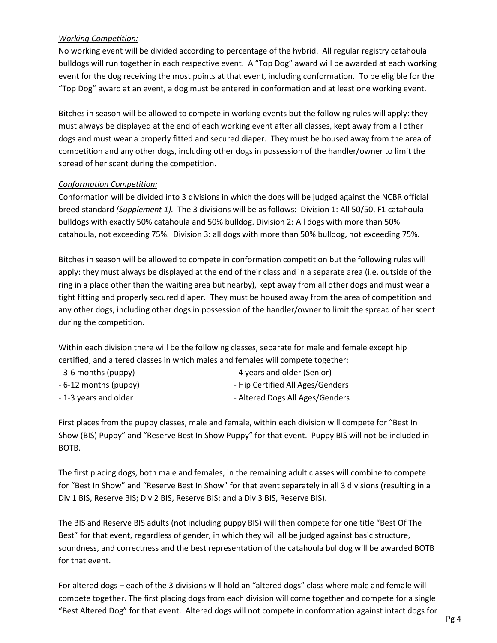#### *Working Competition:*

No working event will be divided according to percentage of the hybrid. All regular registry catahoula bulldogs will run together in each respective event. A "Top Dog" award will be awarded at each working event for the dog receiving the most points at that event, including conformation. To be eligible for the "Top Dog" award at an event, a dog must be entered in conformation and at least one working event.

Bitches in season will be allowed to compete in working events but the following rules will apply: they must always be displayed at the end of each working event after all classes, kept away from all other dogs and must wear a properly fitted and secured diaper. They must be housed away from the area of competition and any other dogs, including other dogs in possession of the handler/owner to limit the spread of her scent during the competition.

#### *Conformation Competition:*

Conformation will be divided into 3 divisions in which the dogs will be judged against the NCBR official breed standard *(Supplement 1).* The 3 divisions will be as follows: Division 1: All 50/50, F1 catahoula bulldogs with exactly 50% catahoula and 50% bulldog. Division 2: All dogs with more than 50% catahoula, not exceeding 75%. Division 3: all dogs with more than 50% bulldog, not exceeding 75%.

Bitches in season will be allowed to compete in conformation competition but the following rules will apply: they must always be displayed at the end of their class and in a separate area (i.e. outside of the ring in a place other than the waiting area but nearby), kept away from all other dogs and must wear a tight fitting and properly secured diaper. They must be housed away from the area of competition and any other dogs, including other dogs in possession of the handler/owner to limit the spread of her scent during the competition.

Within each division there will be the following classes, separate for male and female except hip certified, and altered classes in which males and females will compete together:

- 3-6 months (puppy)  $-4$  years and older (Senior)
- 6-12 months (puppy)  $\qquad \qquad$  Hip Certified All Ages/Genders
- 1-3 years and older **Altered Dogs All Ages/Genders** Altered Dogs All Ages/Genders

First places from the puppy classes, male and female, within each division will compete for "Best In Show (BIS) Puppy" and "Reserve Best In Show Puppy" for that event. Puppy BIS will not be included in BOTB.

The first placing dogs, both male and females, in the remaining adult classes will combine to compete for "Best In Show" and "Reserve Best In Show" for that event separately in all 3 divisions (resulting in a Div 1 BIS, Reserve BIS; Div 2 BIS, Reserve BIS; and a Div 3 BIS, Reserve BIS).

The BIS and Reserve BIS adults (not including puppy BIS) will then compete for one title "Best Of The Best" for that event, regardless of gender, in which they will all be judged against basic structure, soundness, and correctness and the best representation of the catahoula bulldog will be awarded BOTB for that event.

For altered dogs – each of the 3 divisions will hold an "altered dogs" class where male and female will compete together. The first placing dogs from each division will come together and compete for a single "Best Altered Dog" for that event. Altered dogs will not compete in conformation against intact dogs for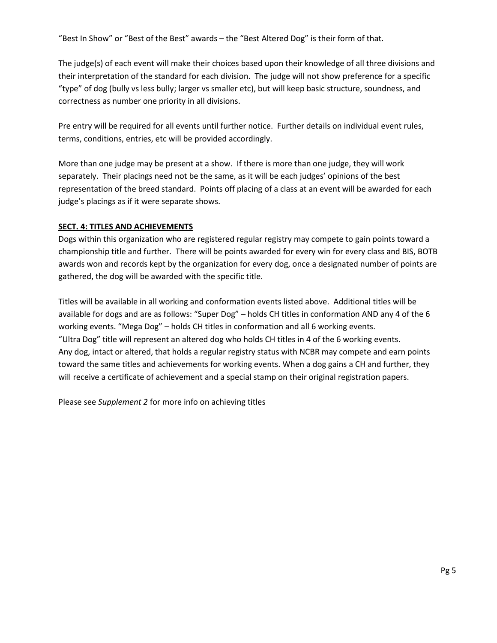"Best In Show" or "Best of the Best" awards – the "Best Altered Dog" is their form of that.

The judge(s) of each event will make their choices based upon their knowledge of all three divisions and their interpretation of the standard for each division. The judge will not show preference for a specific "type" of dog (bully vs less bully; larger vs smaller etc), but will keep basic structure, soundness, and correctness as number one priority in all divisions.

Pre entry will be required for all events until further notice. Further details on individual event rules, terms, conditions, entries, etc will be provided accordingly.

More than one judge may be present at a show. If there is more than one judge, they will work separately. Their placings need not be the same, as it will be each judges' opinions of the best representation of the breed standard. Points off placing of a class at an event will be awarded for each judge's placings as if it were separate shows.

## **SECT. 4: TITLES AND ACHIEVEMENTS**

Dogs within this organization who are registered regular registry may compete to gain points toward a championship title and further. There will be points awarded for every win for every class and BIS, BOTB awards won and records kept by the organization for every dog, once a designated number of points are gathered, the dog will be awarded with the specific title.

Titles will be available in all working and conformation events listed above. Additional titles will be available for dogs and are as follows: "Super Dog" – holds CH titles in conformation AND any 4 of the 6 working events. "Mega Dog" – holds CH titles in conformation and all 6 working events. "Ultra Dog" title will represent an altered dog who holds CH titles in 4 of the 6 working events. Any dog, intact or altered, that holds a regular registry status with NCBR may compete and earn points toward the same titles and achievements for working events. When a dog gains a CH and further, they will receive a certificate of achievement and a special stamp on their original registration papers.

Please see *Supplement 2* for more info on achieving titles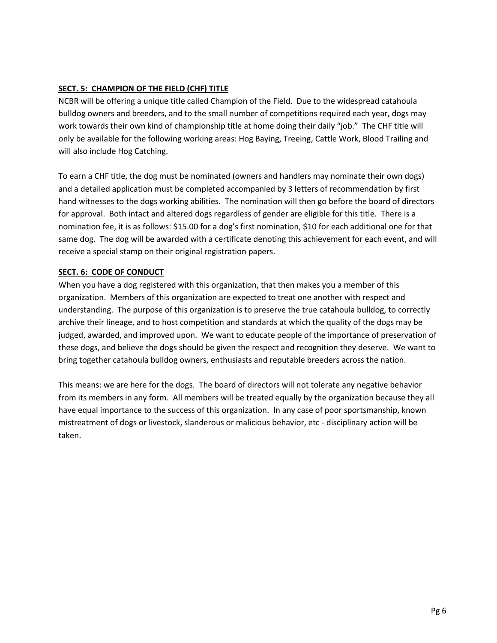# **SECT. 5: CHAMPION OF THE FIELD (CHF) TITLE**

NCBR will be offering a unique title called Champion of the Field. Due to the widespread catahoula bulldog owners and breeders, and to the small number of competitions required each year, dogs may work towards their own kind of championship title at home doing their daily "job." The CHF title will only be available for the following working areas: Hog Baying, Treeing, Cattle Work, Blood Trailing and will also include Hog Catching.

To earn a CHF title, the dog must be nominated (owners and handlers may nominate their own dogs) and a detailed application must be completed accompanied by 3 letters of recommendation by first hand witnesses to the dogs working abilities. The nomination will then go before the board of directors for approval. Both intact and altered dogs regardless of gender are eligible for this title. There is a nomination fee, it is as follows: \$15.00 for a dog's first nomination, \$10 for each additional one for that same dog. The dog will be awarded with a certificate denoting this achievement for each event, and will receive a special stamp on their original registration papers.

# **SECT. 6: CODE OF CONDUCT**

When you have a dog registered with this organization, that then makes you a member of this organization. Members of this organization are expected to treat one another with respect and understanding. The purpose of this organization is to preserve the true catahoula bulldog, to correctly archive their lineage, and to host competition and standards at which the quality of the dogs may be judged, awarded, and improved upon. We want to educate people of the importance of preservation of these dogs, and believe the dogs should be given the respect and recognition they deserve. We want to bring together catahoula bulldog owners, enthusiasts and reputable breeders across the nation.

This means: we are here for the dogs. The board of directors will not tolerate any negative behavior from its members in any form. All members will be treated equally by the organization because they all have equal importance to the success of this organization. In any case of poor sportsmanship, known mistreatment of dogs or livestock, slanderous or malicious behavior, etc - disciplinary action will be taken.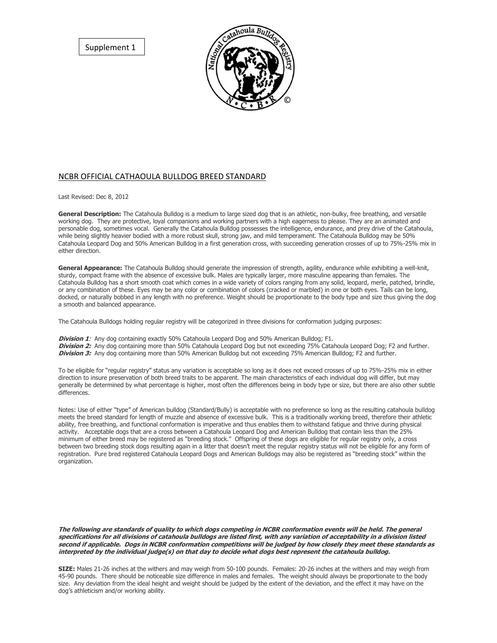Supplement 1



#### NCBR OFFICIAL CATHAOULA BULLDOG BREED STANDARD

Last Revised: Dec 8, 2012

**General Description:** The Catahoula Bulldog is a medium to large sized dog that is an athletic, non-bulky, free breathing, and versatile working dog. They are protective, loyal companions and working partners with a high eagerness to please. They are an animated and personable dog, sometimes vocal. Generally the Catahoula Bulldog possesses the intelligence, endurance, and prey drive of the Catahoula, while being slightly heavier bodied with a more robust skull, strong jaw, and mild temperament. The Catahoula Bulldog may be 50% Catahoula Leopard Dog and 50% American Bulldog in a first generation cross, with succeeding generation crosses of up to 75%-25% mix in either direction.

**General Appearance:** The Catahoula Bulldog should generate the impression of strength, agility, endurance while exhibiting a well-knit, sturdy, compact frame with the absence of excessive bulk. Males are typically larger, more masculine appearing than females. The Catahoula Bulldog has a short smooth coat which comes in a wide variety of colors ranging from any solid, leopard, merle, patched, brindle, or any combination of these. Eyes may be any color or combination of colors (cracked or marbled) in one or both eyes. Tails can be long, docked, or naturally bobbed in any length with no preference. Weight should be proportionate to the body type and size thus giving the dog a smooth and balanced appearance.

The Catahoula Bulldogs holding regular registry will be categorized in three divisions for conformation judging purposes:

**Division 1**: Any dog containing exactly 50% Catahoula Leopard Dog and 50% American Bulldog; F1. **Division 2:** Any dog containing more than 50% Catahoula Leopard Dog but not exceeding 75% Catahoula Leopard Dog; F2 and further. **Division 3:** Any dog containing more than 50% American Bulldog but not exceeding 75% American Bulldog; F2 and further.

To be eligible for "regular registry" status any variation is acceptable so long as it does not exceed crosses of up to 75%-25% mix in either direction to insure preservation of both breed traits to be apparent. The main characteristics of each individual dog will differ, but may generally be determined by what percentage is higher, most often the differences being in body type or size, but there are also other subtle differences.

Notes: Use of either "type" of American bulldog (Standard/Bully) is acceptable with no preference so long as the resulting catahoula bulldog meets the breed standard for length of muzzle and absence of excessive bulk. This is a traditionally working breed, therefore their athletic ability, free breathing, and functional conformation is imperative and thus enables them to withstand fatigue and thrive during physical activity. Acceptable dogs that are a cross between a Catahoula Leopard Dog and American Bulldog that contain less than the 25% minimum of either breed may be registered as "breeding stock." Offspring of these dogs are eligible for regular registry only, a cross between two breeding stock dogs resulting again in a litter that doesn't meet the regular registry status will not be eligible for any form of registration. Pure bred registered Catahoula Leopard Dogs and American Bulldogs may also be registered as "breeding stock" within the organization.

**The following are standards of quality to which dogs competing in NCBR conformation events will be held. The general specifications for all divisions of catahoula bulldogs are listed first, with any variation of acceptability in a division listed second if applicable. Dogs in NCBR conformation competitions will be judged by how closely they meet these standards as interpreted by the individual judge(s) on that day to decide what dogs best represent the catahoula bulldog.** 

**SIZE:** Males 21-26 inches at the withers and may weigh from 50-100 pounds. Females: 20-26 inches at the withers and may weigh from 45-90 pounds. There should be noticeable size difference in males and females. The weight should always be proportionate to the body size. Any deviation from the ideal height and weight should be judged by the extent of the deviation, and the effect it may have on the dog's athleticism and/or working ability.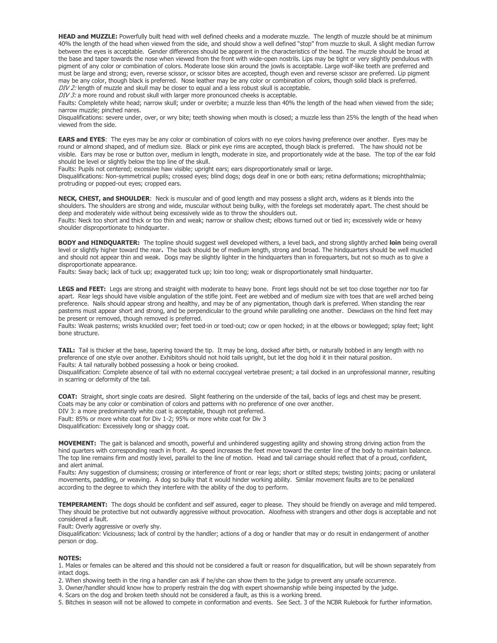**HEAD and MUZZLE:** Powerfully built head with well defined cheeks and a moderate muzzle. The length of muzzle should be at minimum 40% the length of the head when viewed from the side, and should show a well defined "stop" from muzzle to skull. A slight median furrow between the eyes is acceptable. Gender differences should be apparent in the characteristics of the head. The muzzle should be broad at the base and taper towards the nose when viewed from the front with wide-open nostrils. Lips may be tight or very slightly pendulous with pigment of any color or combination of colors. Moderate loose skin around the jowls is acceptable. Large wolf-like teeth are preferred and must be large and strong; even, reverse scissor, or scissor bites are accepted, though even and reverse scissor are preferred. Lip pigment may be any color, though black is preferred.Nose leather may be any color or combination of colors, though solid black is preferred. DIV 2: length of muzzle and skull may be closer to equal and a less robust skull is acceptable.

DIV 3: a more round and robust skull with larger more pronounced cheeks is acceptable.

Faults: Completely white head; narrow skull; under or overbite; a muzzle less than 40% the length of the head when viewed from the side; narrow muzzle; pinched nares.

Disqualifications: severe under, over, or wry bite; teeth showing when mouth is closed; a muzzle less than 25% the length of the head when viewed from the side.

**EARS and EYES**: The eyes may be any color or combination of colors with no eye colors having preference over another. Eyes may be round or almond shaped, and of medium size. Black or pink eye rims are accepted, though black is preferred. The haw should not be visible. Ears may be rose or button over, medium in length, moderate in size, and proportionately wide at the base. The top of the ear fold should be level or slightly below the top line of the skull.

Faults: Pupils not centered; excessive haw visible; upright ears; ears disproportionately small or large.

Disqualifications: Non-symmetrical pupils; crossed eyes; blind dogs; dogs deaf in one or both ears; retina deformations; microphthalmia; protruding or popped-out eyes; cropped ears.

**NECK, CHEST, and SHOULDER**: Neck is muscular and of good length and may possess a slight arch, widens as it blends into the shoulders. The shoulders are strong and wide, muscular without being bulky, with the forelegs set moderately apart. The chest should be deep and moderately wide without being excessively wide as to throw the shoulders out.

Faults: Neck too short and thick or too thin and weak; narrow or shallow chest; elbows turned out or tied in; excessively wide or heavy shoulder disproportionate to hindquarter.

**BODY and HINDQUARTER:** The topline should suggest well developed withers, a level back, and strong slightly arched **loin** being overall level or slightly higher toward the rear**.** The back should be of medium length, strong and broad. The hindquarters should be well muscled and should not appear thin and weak. Dogs may be slightly lighter in the hindquarters than in forequarters, but not so much as to give a disproportionate appearance.

Faults: Sway back; lack of tuck up; exaggerated tuck up; loin too long; weak or disproportionately small hindquarter.

**LEGS and FEET:** Legs are strong and straight with moderate to heavy bone. Front legs should not be set too close together nor too far apart. Rear legs should have visible angulation of the stifle joint. Feet are webbed and of medium size with toes that are well arched being preference. Nails should appear strong and healthy, and may be of any pigmentation, though dark is preferred. When standing the rear pasterns must appear short and strong, and be perpendicular to the ground while paralleling one another. Dewclaws on the hind feet may be present or removed, though removed is preferred.

Faults: Weak pasterns; wrists knuckled over; feet toed-in or toed-out; cow or open hocked; in at the elbows or bowlegged; splay feet; light bone structure.

**TAIL:** Tail is thicker at the base, tapering toward the tip. It may be long, docked after birth, or naturally bobbed in any length with no preference of one style over another. Exhibitors should not hold tails upright, but let the dog hold it in their natural position. Faults: A tail naturally bobbed possessing a hook or being crooked.

Disqualification: Complete absence of tail with no external coccygeal vertebrae present; a tail docked in an unprofessional manner, resulting in scarring or deformity of the tail.

**COAT:** Straight, short single coats are desired. Slight feathering on the underside of the tail, backs of legs and chest may be present. Coats may be any color or combination of colors and patterns with no preference of one over another. DIV 3: a more predominantly white coat is acceptable, though not preferred. Fault: 85% or more white coat for Div 1-2; 95% or more white coat for Div 3 Disqualification: Excessively long or shaggy coat.

**MOVEMENT:** The gait is balanced and smooth, powerful and unhindered suggesting agility and showing strong driving action from the hind quarters with corresponding reach in front. As speed increases the feet move toward the center line of the body to maintain balance. The top line remains firm and mostly level, parallel to the line of motion. Head and tail carriage should reflect that of a proud, confident, and alert animal.

Faults: Any suggestion of clumsiness; crossing or interference of front or rear legs; short or stilted steps; twisting joints; pacing or unilateral movements, paddling, or weaving. A dog so bulky that it would hinder working ability. Similar movement faults are to be penalized according to the degree to which they interfere with the ability of the dog to perform.

**TEMPERAMENT:** The dogs should be confident and self assured, eager to please. They should be friendly on average and mild tempered. They should be protective but not outwardly aggressive without provocation. Aloofness with strangers and other dogs is acceptable and not considered a fault.

Fault: Overly aggressive or overly shy.

Disqualification: Viciousness; lack of control by the handler; actions of a dog or handler that may or do result in endangerment of another person or dog.

#### **NOTES:**

1. Males or females can be altered and this should not be considered a fault or reason for disqualification, but will be shown separately from intact dogs.

2. When showing teeth in the ring a handler can ask if he/she can show them to the judge to prevent any unsafe occurrence.

3. Owner/handler should know how to properly restrain the dog with expert showmanship while being inspected by the judge.

4. Scars on the dog and broken teeth should not be considered a fault, as this is a working breed.

5. Bitches in season will not be allowed to compete in conformation and events. See Sect. 3 of the NCBR Rulebook for further information.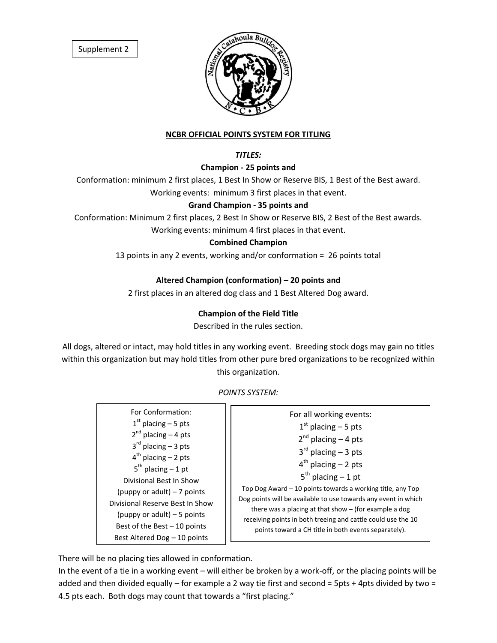Supplement 2



#### **NCBR OFFICIAL POINTS SYSTEM FOR TITLING**

#### *TITLES:*

#### **Champion - 25 points and**

Conformation: minimum 2 first places, 1 Best In Show or Reserve BIS, 1 Best of the Best award. Working events: minimum 3 first places in that event.

#### **Grand Champion - 35 points and**

Conformation: Minimum 2 first places, 2 Best In Show or Reserve BIS, 2 Best of the Best awards.

Working events: minimum 4 first places in that event.

#### **Combined Champion**

13 points in any 2 events, working and/or conformation = 26 points total

#### **Altered Champion (conformation) – 20 points and**

2 first places in an altered dog class and 1 Best Altered Dog award.

#### **Champion of the Field Title**

Described in the rules section.

All dogs, altered or intact, may hold titles in any working event. Breeding stock dogs may gain no titles within this organization but may hold titles from other pure bred organizations to be recognized within this organization.

#### *POINTS SYSTEM:*

| For Conformation:               | For all working events:                                                                                                                                                                                                                                                                                                                                                                                                                              |
|---------------------------------|------------------------------------------------------------------------------------------------------------------------------------------------------------------------------------------------------------------------------------------------------------------------------------------------------------------------------------------------------------------------------------------------------------------------------------------------------|
| $1st$ placing – 5 pts           | $1st$ placing – 5 pts<br>$2^{nd}$ placing $-$ 4 pts<br>$3rd$ placing – 3 pts<br>$4th$ placing – 2 pts<br>$5^{th}$ placing $-1$ pt<br>Top Dog Award - 10 points towards a working title, any Top<br>Dog points will be available to use towards any event in which<br>there was a placing at that show $-$ (for example a dog<br>receiving points in both treeing and cattle could use the 10<br>points toward a CH title in both events separately). |
| $2^{nd}$ placing $-4$ pts       |                                                                                                                                                                                                                                                                                                                                                                                                                                                      |
| $3^{rd}$ placing – 3 pts        |                                                                                                                                                                                                                                                                                                                                                                                                                                                      |
| $4th$ placing – 2 pts           |                                                                                                                                                                                                                                                                                                                                                                                                                                                      |
| $5th$ placing – 1 pt            |                                                                                                                                                                                                                                                                                                                                                                                                                                                      |
| Divisional Best In Show         |                                                                                                                                                                                                                                                                                                                                                                                                                                                      |
| (puppy or adult) $-7$ points    |                                                                                                                                                                                                                                                                                                                                                                                                                                                      |
| Divisional Reserve Best In Show |                                                                                                                                                                                                                                                                                                                                                                                                                                                      |
| (puppy or adult) $-5$ points    |                                                                                                                                                                                                                                                                                                                                                                                                                                                      |
| Best of the Best $-10$ points   |                                                                                                                                                                                                                                                                                                                                                                                                                                                      |
| Best Altered Dog - 10 points    |                                                                                                                                                                                                                                                                                                                                                                                                                                                      |

There will be no placing ties allowed in conformation.

In the event of a tie in a working event – will either be broken by a work-off, or the placing points will be added and then divided equally – for example a 2 way tie first and second = 5pts + 4pts divided by two = 4.5 pts each. Both dogs may count that towards a "first placing."